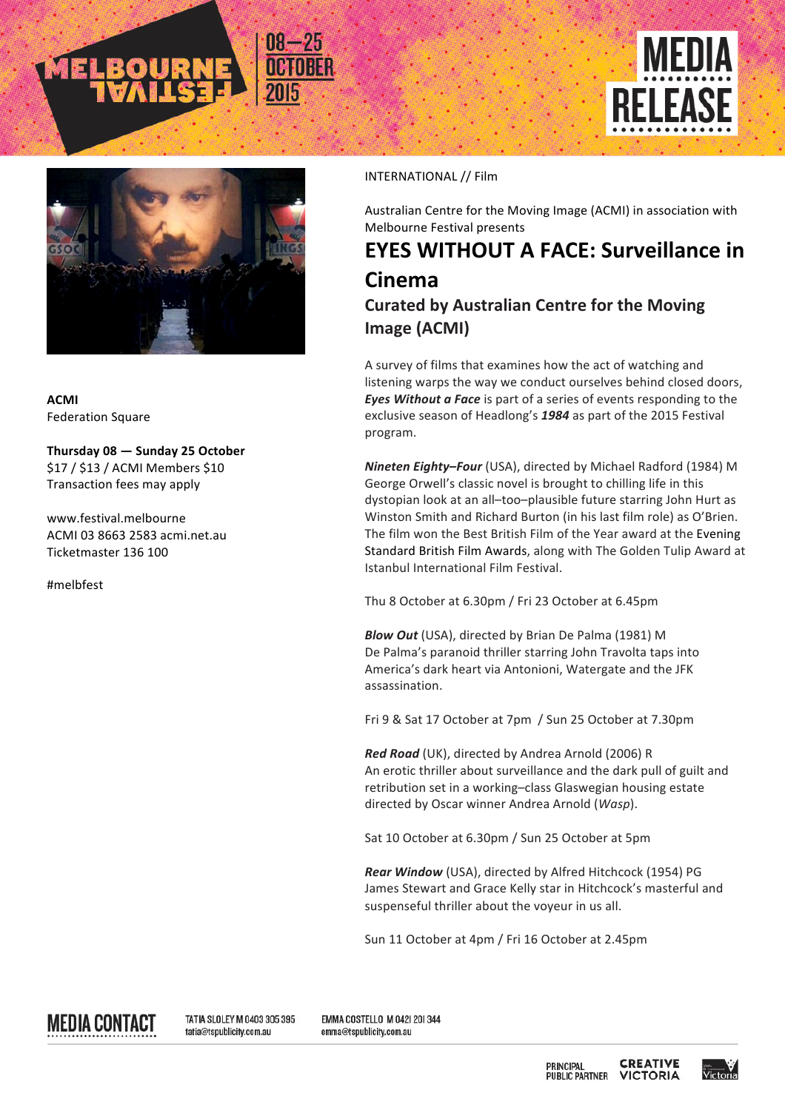



**ACMI**  Federation Square

**Thursday 08 — Sunday 25 October** \$17 / \$13 / ACMI Members \$10 Transaction fees may apply

www.festival.melbourne ACMI 03 8663 2583 acmi.net.au Ticketmaster 136 100

#melbfest

## INTERNATIONAL // Film

Australian Centre for the Moving Image (ACMI) in association with Melbourne Festival presents

## **EYES WITHOUT A FACE: Surveillance in Cinema Curated by Australian Centre for the Moving Image (ACMI)**

A survey of films that examines how the act of watching and listening warps the way we conduct ourselves behind closed doors, *Eyes Without a Face* is part of a series of events responding to the exclusive season of Headlong's 1984 as part of the 2015 Festival program.

*Nineten Eighty-Four* (USA), directed by Michael Radford (1984) M George Orwell's classic novel is brought to chilling life in this dystopian look at an all-too-plausible future starring John Hurt as Winston Smith and Richard Burton (in his last film role) as O'Brien. The film won the Best British Film of the Year award at the Evening Standard British Film Awards, along with The Golden Tulip Award at Istanbul International Film Festival.

Thu 8 October at 6.30pm / Fri 23 October at 6.45pm

**Blow Out** (USA), directed by Brian De Palma (1981) M De Palma's paranoid thriller starring John Travolta taps into America's dark heart via Antonioni, Watergate and the JFK assassination.

Fri 9 & Sat 17 October at 7pm / Sun 25 October at 7.30pm

*Red Road* (UK), directed by Andrea Arnold (2006) R An erotic thriller about surveillance and the dark pull of guilt and retribution set in a working-class Glaswegian housing estate directed by Oscar winner Andrea Arnold (*Wasp*).

Sat 10 October at 6.30pm / Sun 25 October at 5pm

**Rear Window** (USA), directed by Alfred Hitchcock (1954) PG James Stewart and Grace Kelly star in Hitchcock's masterful and suspenseful thriller about the voyeur in us all.

Sun 11 October at 4pm / Fri 16 October at 2.45pm

MEDIA CONTACT

TATIA SLOLEY M 0403 305 395 tatia@tspublicity.com.au

EMMA COSTELLO M 042| 20| 344 emma@tspublicity.com.au